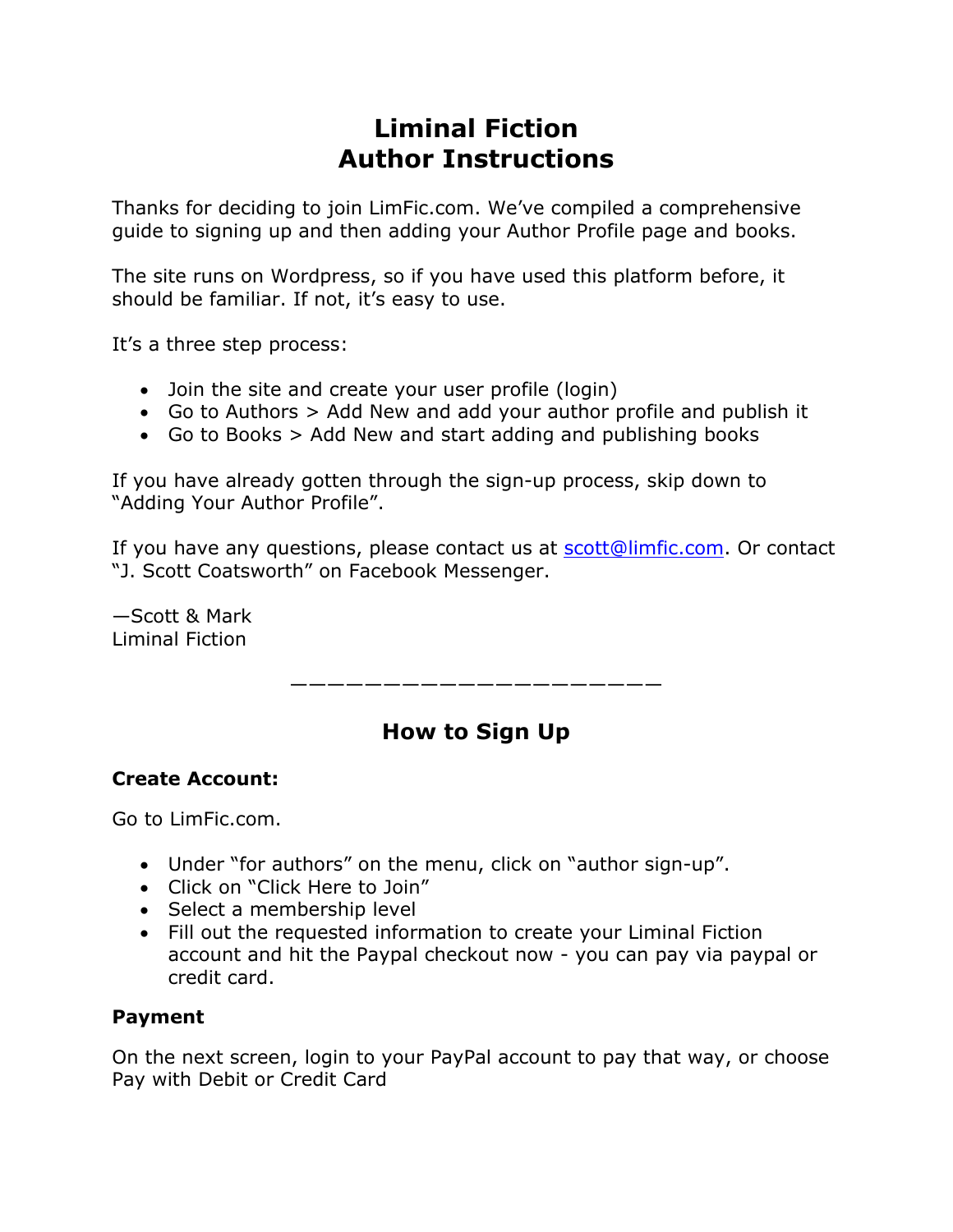# **Liminal Fiction Author Instructions**

Thanks for deciding to join LimFic.com. We've compiled a comprehensive guide to signing up and then adding your Author Profile page and books.

The site runs on Wordpress, so if you have used this platform before, it should be familiar. If not, it's easy to use.

It's a three step process:

- Join the site and create your user profile (login)
- Go to Authors > Add New and add your author profile and publish it
- Go to Books > Add New and start adding and publishing books

If you have already gotten through the sign-up process, skip down to "Adding Your Author Profile".

If you have any questions, please contact us at scott@limfic.com. Or contact "J. Scott Coatsworth" on Facebook Messenger.

—Scott & Mark Liminal Fiction

————————————————————

# **How to Sign Up**

#### **Create Account:**

Go to LimFic.com.

- Under "for authors" on the menu, click on "author sign-up".
- Click on "Click Here to Join"
- Select a membership level
- Fill out the requested information to create your Liminal Fiction account and hit the Paypal checkout now - you can pay via paypal or credit card.

#### **Payment**

On the next screen, login to your PayPal account to pay that way, or choose Pay with Debit or Credit Card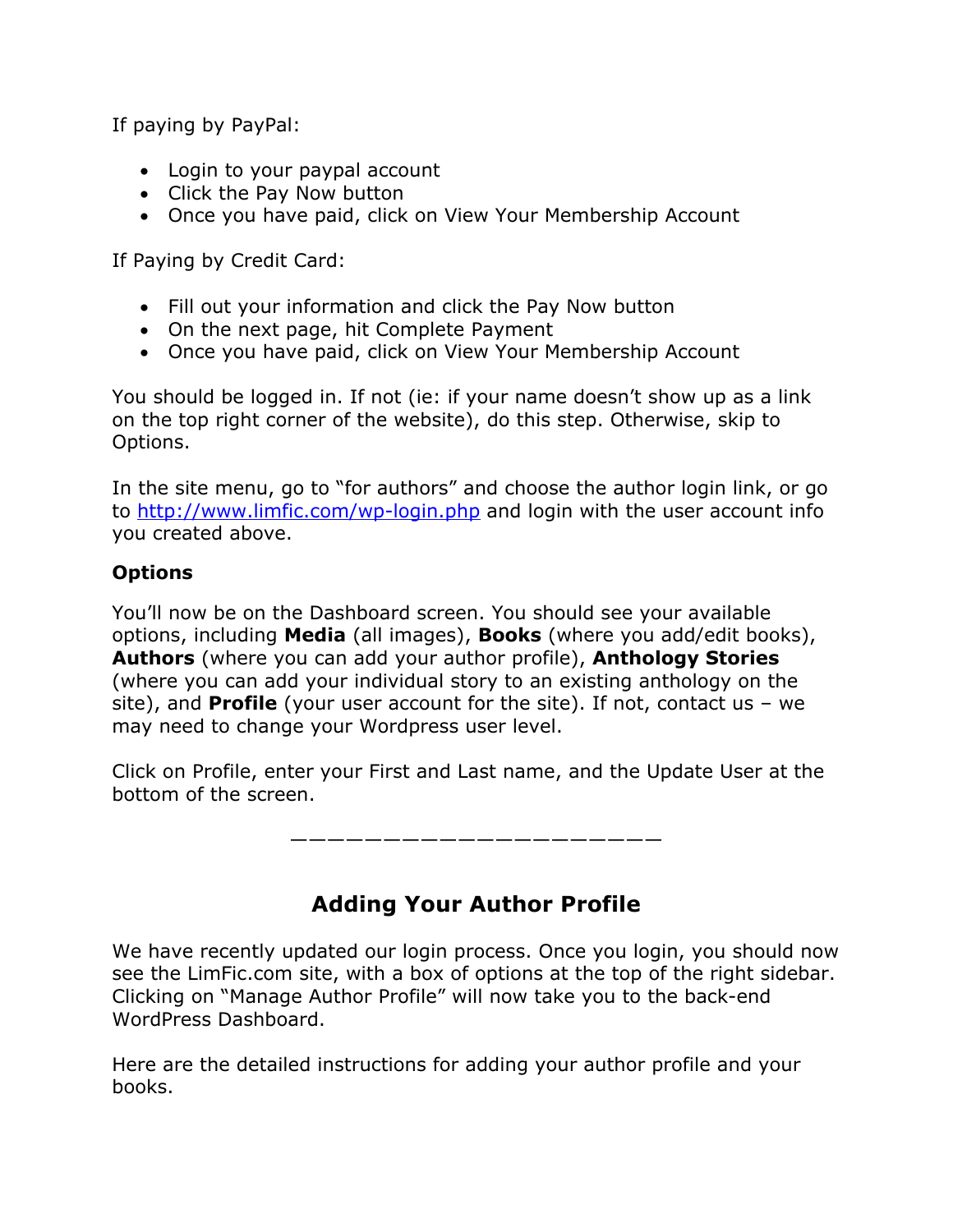If paying by PayPal:

- Login to your paypal account
- Click the Pay Now button
- Once you have paid, click on View Your Membership Account

If Paying by Credit Card:

- Fill out your information and click the Pay Now button
- On the next page, hit Complete Payment
- Once you have paid, click on View Your Membership Account

You should be logged in. If not (ie: if your name doesn't show up as a link on the top right corner of the website), do this step. Otherwise, skip to Options.

In the site menu, go to "for authors" and choose the author login link, or go to http://www.limfic.com/wp-login.php and login with the user account info you created above.

### **Options**

You'll now be on the Dashboard screen. You should see your available options, including **Media** (all images), **Books** (where you add/edit books), **Authors** (where you can add your author profile), **Anthology Stories** (where you can add your individual story to an existing anthology on the site), and **Profile** (your user account for the site). If not, contact us – we may need to change your Wordpress user level.

Click on Profile, enter your First and Last name, and the Update User at the bottom of the screen.

————————————————————

# **Adding Your Author Profile**

We have recently updated our login process. Once you login, you should now see the LimFic.com site, with a box of options at the top of the right sidebar. Clicking on "Manage Author Profile" will now take you to the back-end WordPress Dashboard.

Here are the detailed instructions for adding your author profile and your books.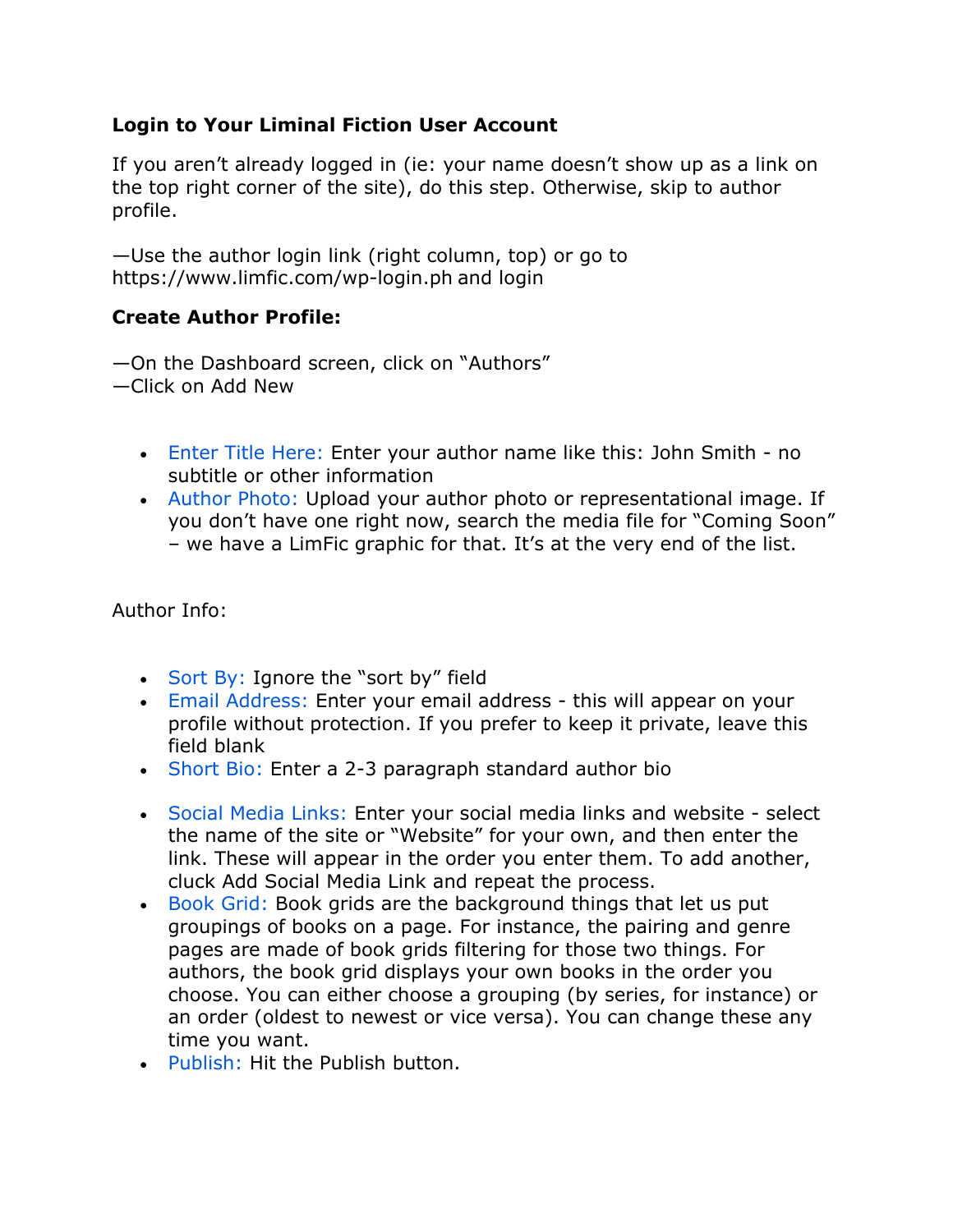#### **Login to Your Liminal Fiction User Account**

If you aren't already logged in (ie: your name doesn't show up as a link on the top right corner of the site), do this step. Otherwise, skip to author profile.

—Use the author login link (right column, top) or go to https://www.limfic.com/wp-login.ph and login

#### **Create Author Profile:**

—On the Dashboard screen, click on "Authors"

—Click on Add New

- Enter Title Here: Enter your author name like this: John Smith no subtitle or other information
- Author Photo: Upload your author photo or representational image. If you don't have one right now, search the media file for "Coming Soon" – we have a LimFic graphic for that. It's at the very end of the list.

Author Info:

- Sort By: Ignore the "sort by" field
- Email Address: Enter your email address this will appear on your profile without protection. If you prefer to keep it private, leave this field blank
- Short Bio: Enter a 2-3 paragraph standard author bio
- Social Media Links: Enter your social media links and website select the name of the site or "Website" for your own, and then enter the link. These will appear in the order you enter them. To add another, cluck Add Social Media Link and repeat the process.
- Book Grid: Book grids are the background things that let us put groupings of books on a page. For instance, the pairing and genre pages are made of book grids filtering for those two things. For authors, the book grid displays your own books in the order you choose. You can either choose a grouping (by series, for instance) or an order (oldest to newest or vice versa). You can change these any time you want.
- Publish: Hit the Publish button.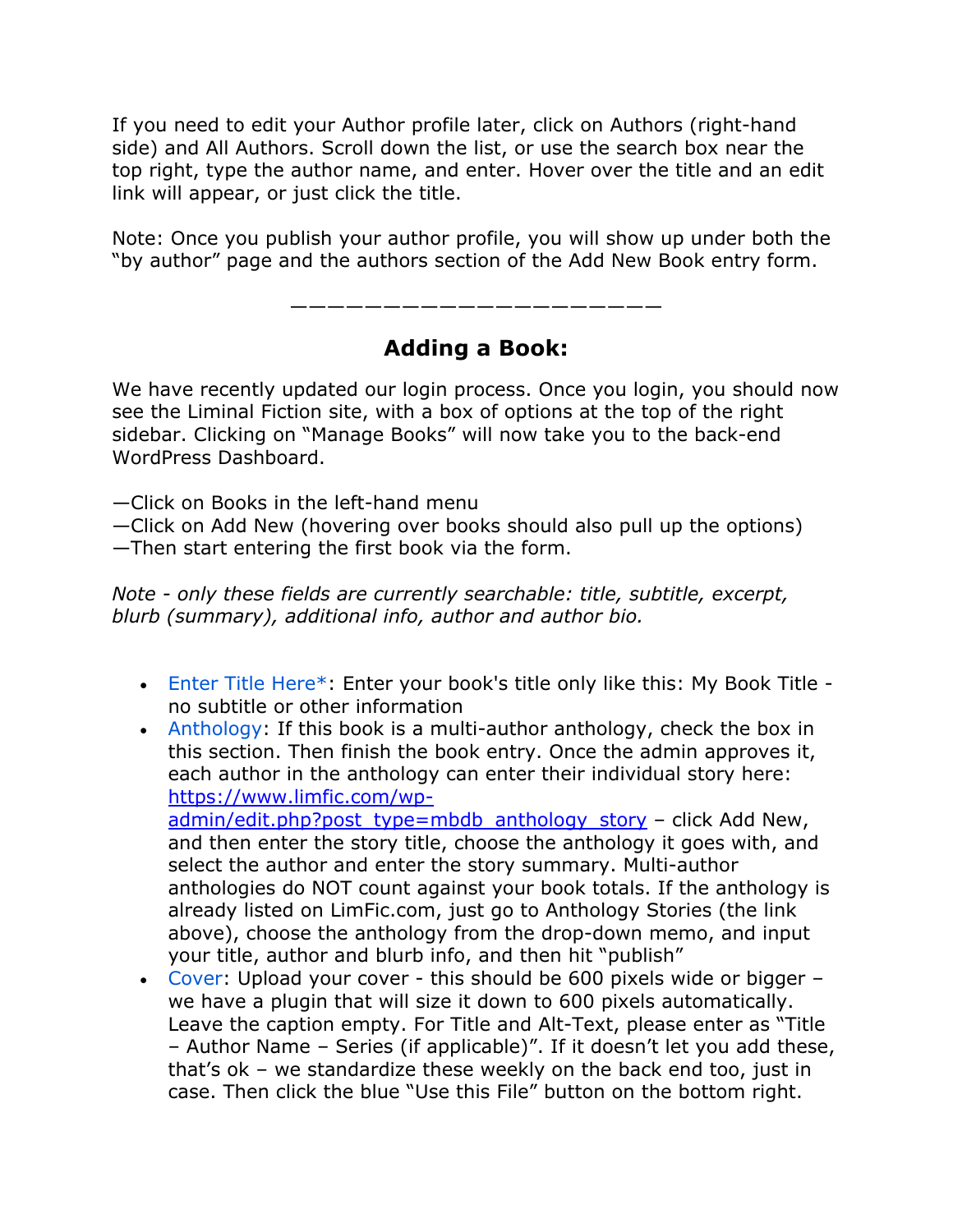If you need to edit your Author profile later, click on Authors (right-hand side) and All Authors. Scroll down the list, or use the search box near the top right, type the author name, and enter. Hover over the title and an edit link will appear, or just click the title.

Note: Once you publish your author profile, you will show up under both the "by author" page and the authors section of the Add New Book entry form.

————————————————————

### **Adding a Book:**

We have recently updated our login process. Once you login, you should now see the Liminal Fiction site, with a box of options at the top of the right sidebar. Clicking on "Manage Books" will now take you to the back-end WordPress Dashboard.

—Click on Books in the left-hand menu

—Click on Add New (hovering over books should also pull up the options) —Then start entering the first book via the form.

*Note - only these fields are currently searchable: title, subtitle, excerpt, blurb (summary), additional info, author and author bio.*

- Enter Title Here\*: Enter your book's title only like this: My Book Title no subtitle or other information
- Anthology: If this book is a multi-author anthology, check the box in this section. Then finish the book entry. Once the admin approves it, each author in the anthology can enter their individual story here: https://www.limfic.com/wpadmin/edit.php?post\_type=mbdb\_anthology\_story – click Add New, and then enter the story title, choose the anthology it goes with, and select the author and enter the story summary. Multi-author anthologies do NOT count against your book totals. If the anthology is already listed on LimFic.com, just go to Anthology Stories (the link above), choose the anthology from the drop-down memo, and input your title, author and blurb info, and then hit "publish"
- Cover: Upload your cover this should be 600 pixels wide or bigger we have a plugin that will size it down to 600 pixels automatically. Leave the caption empty. For Title and Alt-Text, please enter as "Title – Author Name – Series (if applicable)". If it doesn't let you add these, that's ok – we standardize these weekly on the back end too, just in case. Then click the blue "Use this File" button on the bottom right.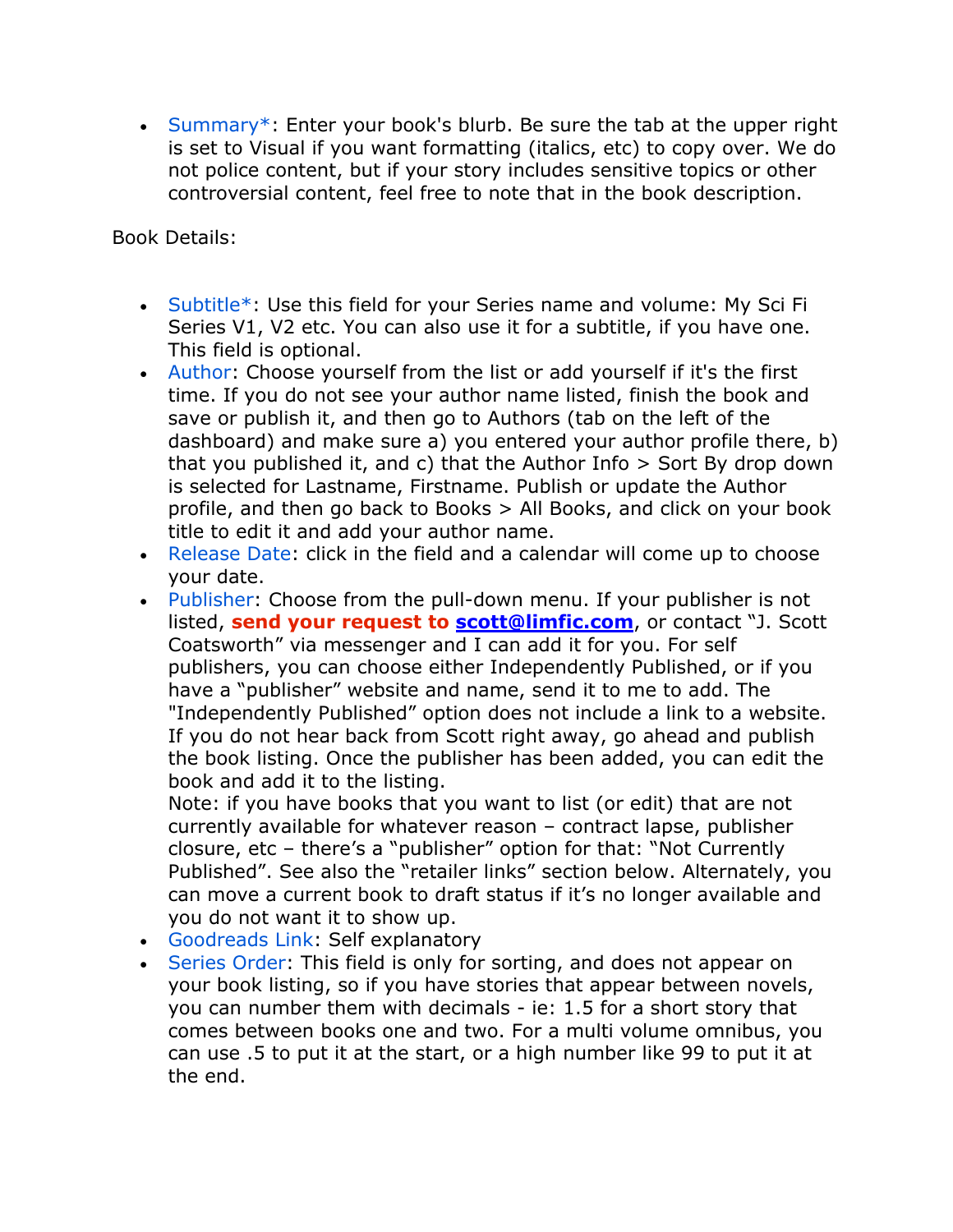• Summary\*: Enter your book's blurb. Be sure the tab at the upper right is set to Visual if you want formatting (italics, etc) to copy over. We do not police content, but if your story includes sensitive topics or other controversial content, feel free to note that in the book description.

Book Details:

- Subtitle\*: Use this field for your Series name and volume: My Sci Fi Series V1, V2 etc. You can also use it for a subtitle, if you have one. This field is optional.
- Author: Choose yourself from the list or add yourself if it's the first time. If you do not see your author name listed, finish the book and save or publish it, and then go to Authors (tab on the left of the dashboard) and make sure a) you entered your author profile there, b) that you published it, and c) that the Author Info > Sort By drop down is selected for Lastname, Firstname. Publish or update the Author profile, and then go back to Books > All Books, and click on your book title to edit it and add your author name.
- Release Date: click in the field and a calendar will come up to choose your date.
- Publisher: Choose from the pull-down menu. If your publisher is not listed, **send your request to scott@limfic.com**, or contact "J. Scott Coatsworth" via messenger and I can add it for you. For self publishers, you can choose either Independently Published, or if you have a "publisher" website and name, send it to me to add. The "Independently Published" option does not include a link to a website. If you do not hear back from Scott right away, go ahead and publish the book listing. Once the publisher has been added, you can edit the book and add it to the listing.

Note: if you have books that you want to list (or edit) that are not currently available for whatever reason – contract lapse, publisher closure, etc – there's a "publisher" option for that: "Not Currently Published". See also the "retailer links" section below. Alternately, you can move a current book to draft status if it's no longer available and you do not want it to show up.

- Goodreads Link: Self explanatory
- Series Order: This field is only for sorting, and does not appear on your book listing, so if you have stories that appear between novels, you can number them with decimals - ie: 1.5 for a short story that comes between books one and two. For a multi volume omnibus, you can use .5 to put it at the start, or a high number like 99 to put it at the end.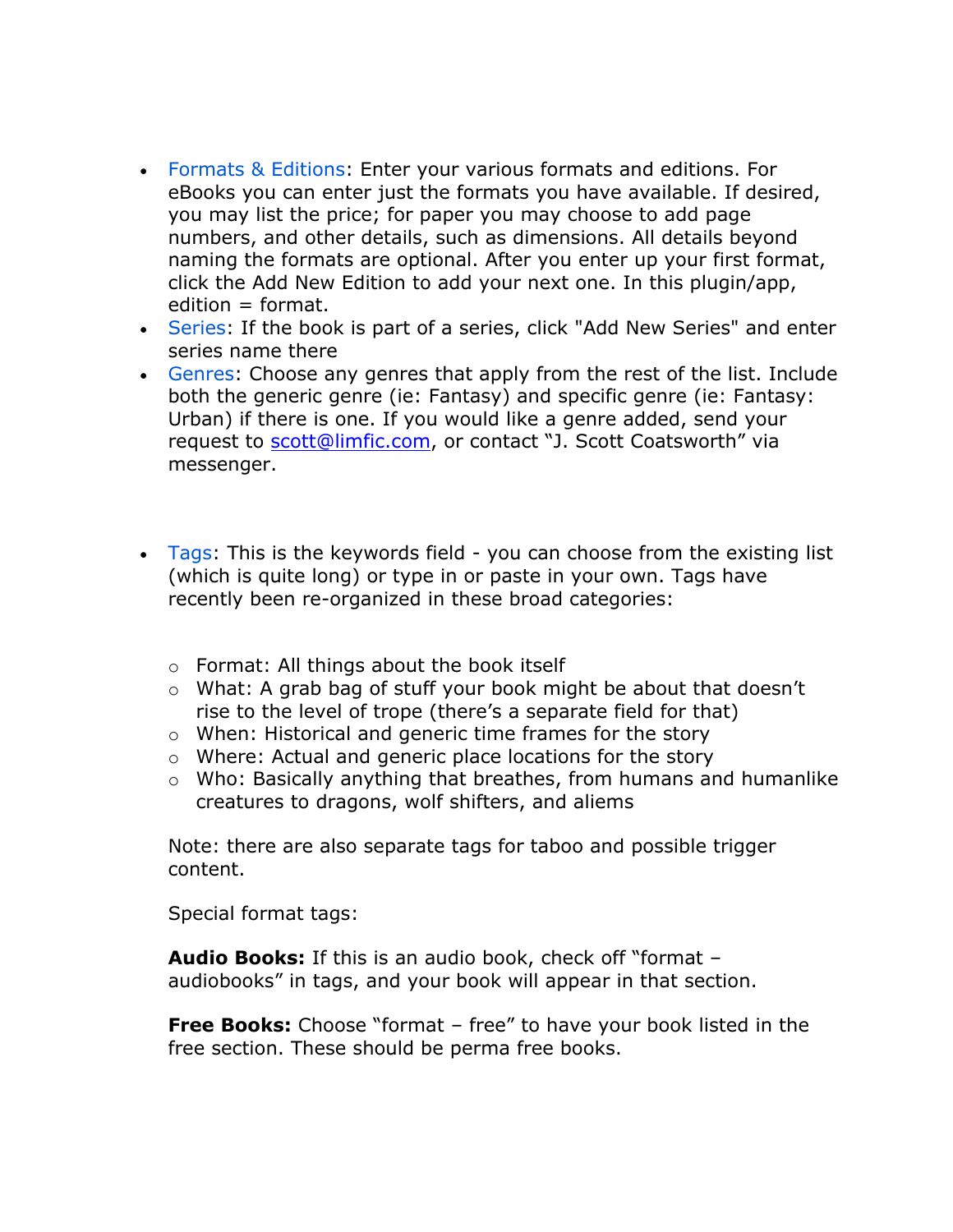- Formats & Editions: Enter your various formats and editions. For eBooks you can enter just the formats you have available. If desired, you may list the price; for paper you may choose to add page numbers, and other details, such as dimensions. All details beyond naming the formats are optional. After you enter up your first format, click the Add New Edition to add your next one. In this plugin/app,  $edition = format.$
- Series: If the book is part of a series, click "Add New Series" and enter series name there
- Genres: Choose any genres that apply from the rest of the list. Include both the generic genre (ie: Fantasy) and specific genre (ie: Fantasy: Urban) if there is one. If you would like a genre added, send your request to **scott@limfic.com**, or contact "J. Scott Coatsworth" via messenger.
- Tags: This is the keywords field you can choose from the existing list (which is quite long) or type in or paste in your own. Tags have recently been re-organized in these broad categories:
	- o Format: All things about the book itself
	- o What: A grab bag of stuff your book might be about that doesn't rise to the level of trope (there's a separate field for that)
	- o When: Historical and generic time frames for the story
	- o Where: Actual and generic place locations for the story
	- $\circ$  Who: Basically anything that breathes, from humans and humanlike creatures to dragons, wolf shifters, and aliems

Note: there are also separate tags for taboo and possible trigger content.

Special format tags:

**Audio Books:** If this is an audio book, check off "format – audiobooks" in tags, and your book will appear in that section.

**Free Books:** Choose "format – free" to have your book listed in the free section. These should be perma free books.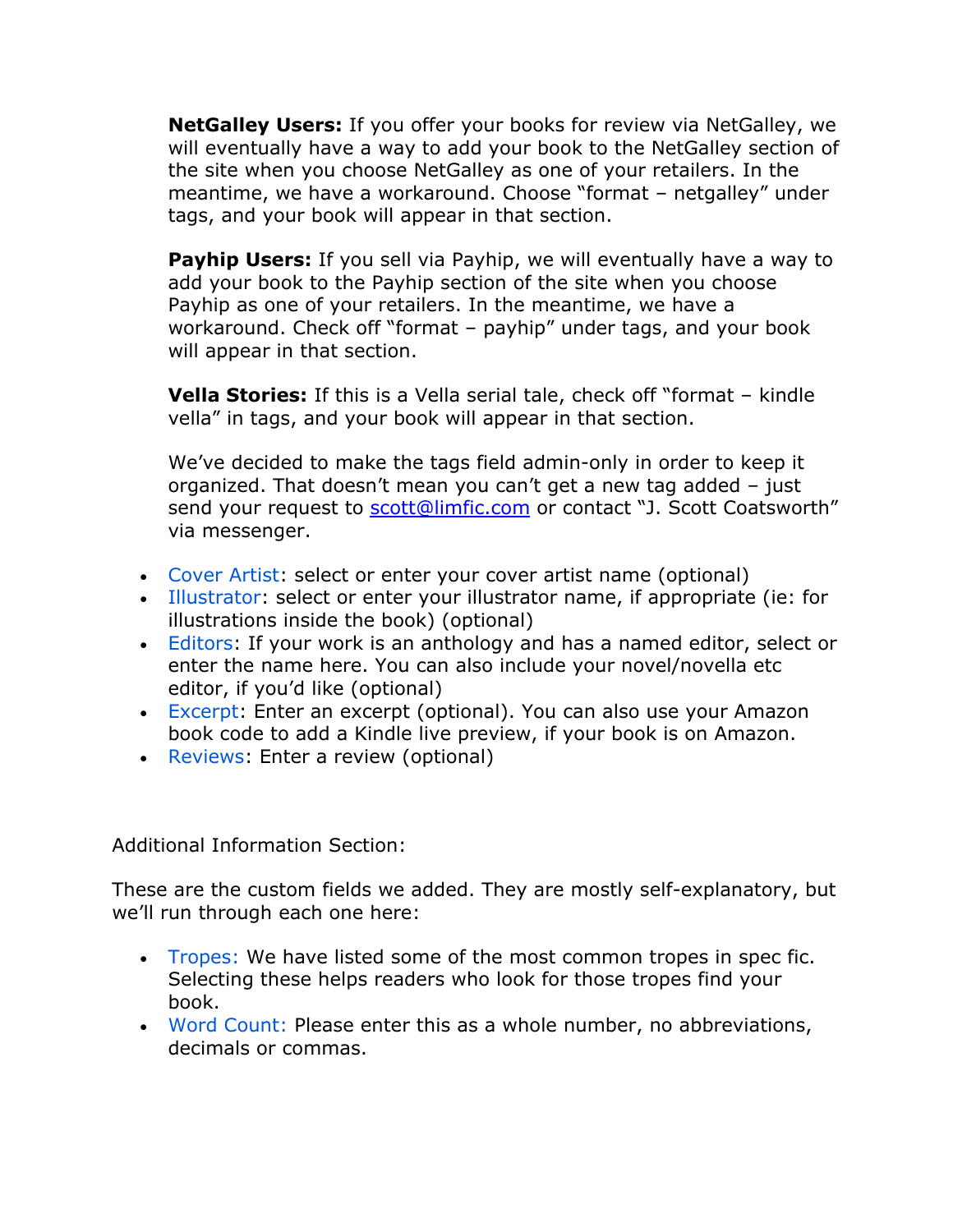**NetGalley Users:** If you offer your books for review via NetGalley, we will eventually have a way to add your book to the NetGalley section of the site when you choose NetGalley as one of your retailers. In the meantime, we have a workaround. Choose "format – netgalley" under tags, and your book will appear in that section.

**Payhip Users:** If you sell via Payhip, we will eventually have a way to add your book to the Payhip section of the site when you choose Payhip as one of your retailers. In the meantime, we have a workaround. Check off "format – payhip" under tags, and your book will appear in that section.

**Vella Stories:** If this is a Vella serial tale, check off "format – kindle vella" in tags, and your book will appear in that section.

We've decided to make the tags field admin-only in order to keep it organized. That doesn't mean you can't get a new tag added – just send your request to scott@limfic.com or contact "J. Scott Coatsworth" via messenger.

- Cover Artist: select or enter your cover artist name (optional)
- Illustrator: select or enter your illustrator name, if appropriate (ie: for illustrations inside the book) (optional)
- Editors: If your work is an anthology and has a named editor, select or enter the name here. You can also include your novel/novella etc editor, if you'd like (optional)
- Excerpt: Enter an excerpt (optional). You can also use your Amazon book code to add a Kindle live preview, if your book is on Amazon.
- Reviews: Enter a review (optional)

Additional Information Section:

These are the custom fields we added. They are mostly self-explanatory, but we'll run through each one here:

- Tropes: We have listed some of the most common tropes in spec fic. Selecting these helps readers who look for those tropes find your book.
- Word Count: Please enter this as a whole number, no abbreviations, decimals or commas.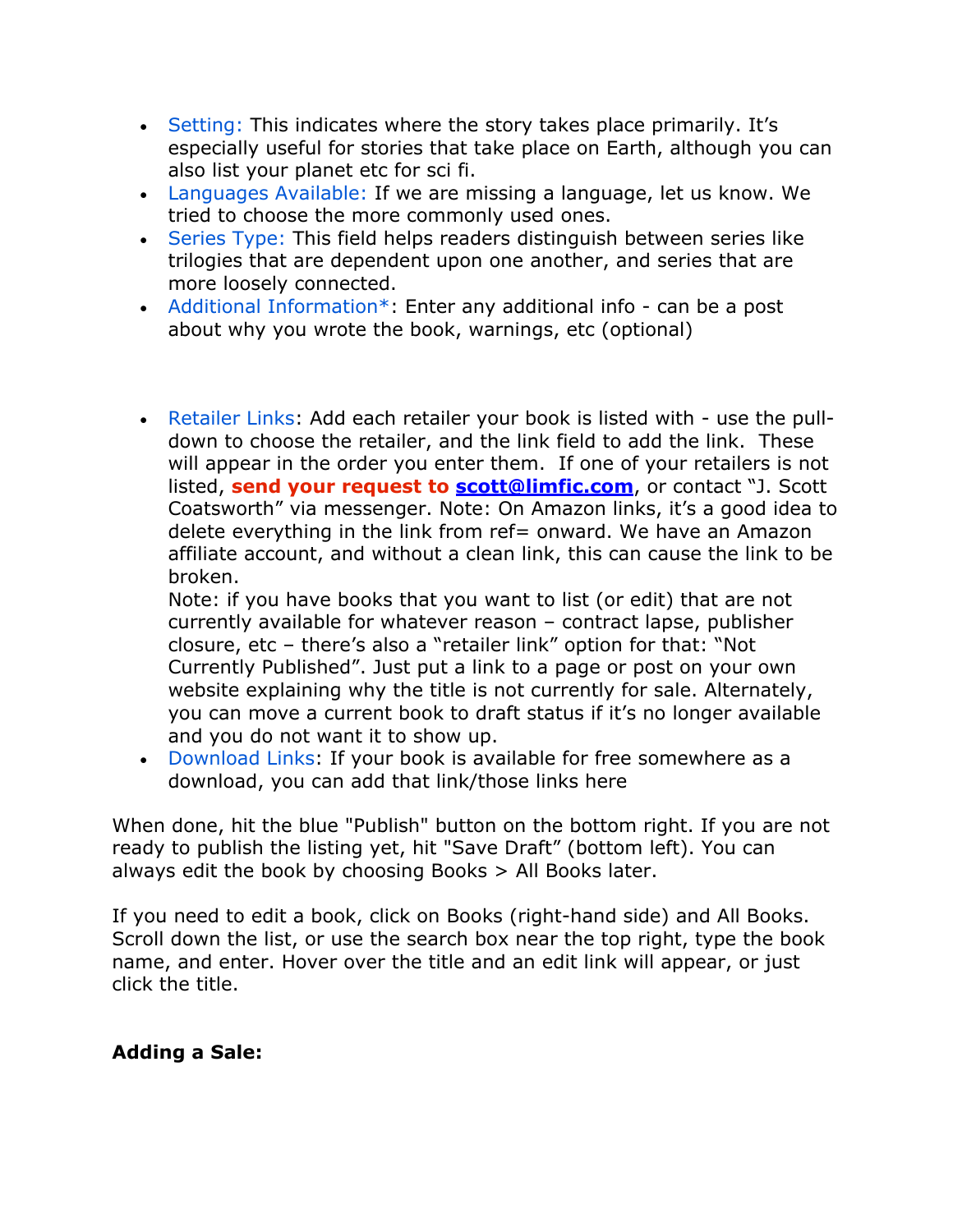- Setting: This indicates where the story takes place primarily. It's especially useful for stories that take place on Earth, although you can also list your planet etc for sci fi.
- Languages Available: If we are missing a language, let us know. We tried to choose the more commonly used ones.
- Series Type: This field helps readers distinguish between series like trilogies that are dependent upon one another, and series that are more loosely connected.
- Additional Information\*: Enter any additional info can be a post about why you wrote the book, warnings, etc (optional)
- Retailer Links: Add each retailer your book is listed with use the pulldown to choose the retailer, and the link field to add the link. These will appear in the order you enter them. If one of your retailers is not listed, **send your request to scott@limfic.com**, or contact "J. Scott Coatsworth" via messenger. Note: On Amazon links, it's a good idea to delete everything in the link from ref= onward. We have an Amazon affiliate account, and without a clean link, this can cause the link to be broken.

Note: if you have books that you want to list (or edit) that are not currently available for whatever reason – contract lapse, publisher closure, etc – there's also a "retailer link" option for that: "Not Currently Published". Just put a link to a page or post on your own website explaining why the title is not currently for sale. Alternately, you can move a current book to draft status if it's no longer available and you do not want it to show up.

• Download Links: If your book is available for free somewhere as a download, you can add that link/those links here

When done, hit the blue "Publish" button on the bottom right. If you are not ready to publish the listing yet, hit "Save Draft" (bottom left). You can always edit the book by choosing Books  $>$  All Books later.

If you need to edit a book, click on Books (right-hand side) and All Books. Scroll down the list, or use the search box near the top right, type the book name, and enter. Hover over the title and an edit link will appear, or just click the title.

#### **Adding a Sale:**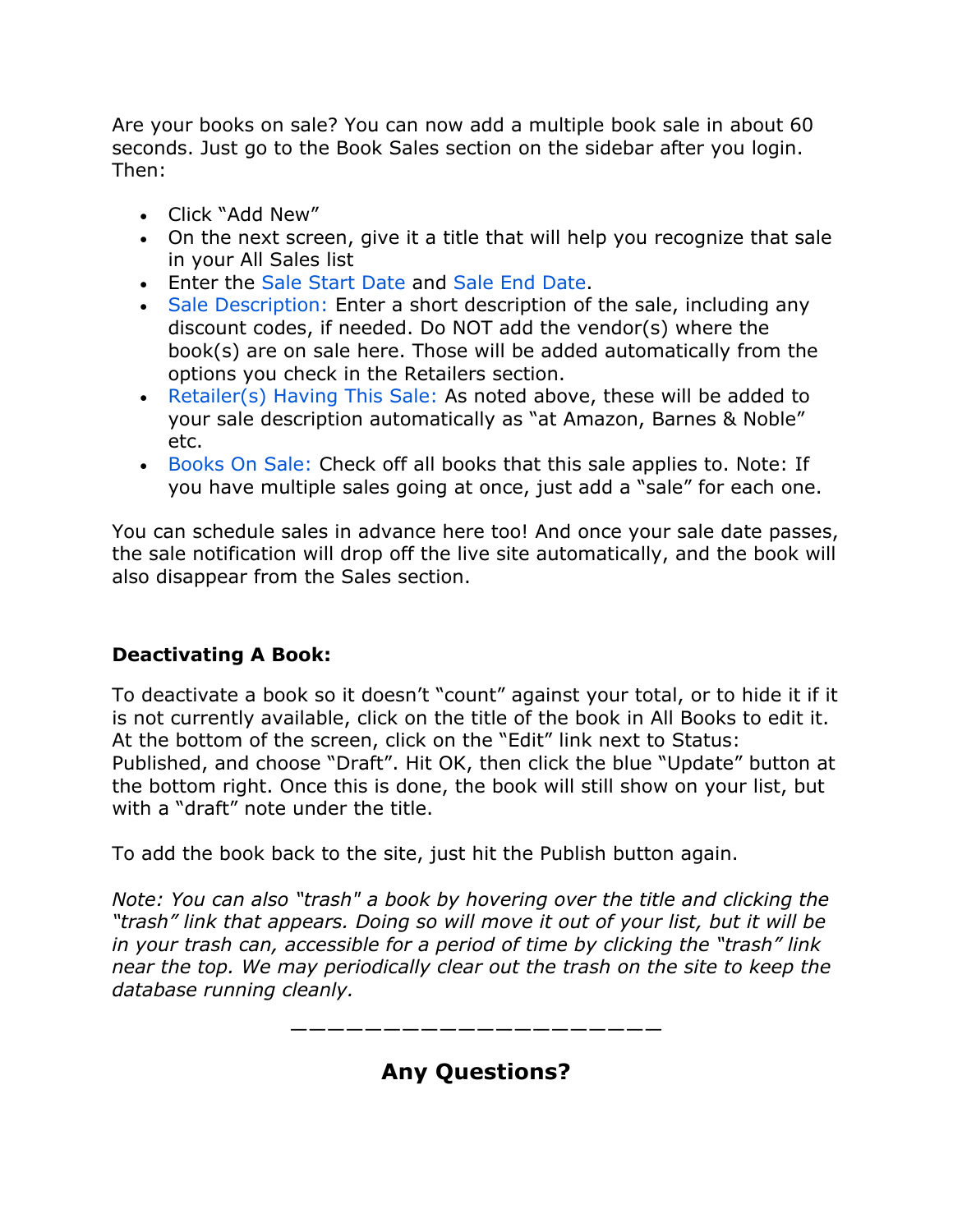Are your books on sale? You can now add a multiple book sale in about 60 seconds. Just go to the Book Sales section on the sidebar after you login. Then:

- Click "Add New"
- On the next screen, give it a title that will help you recognize that sale in your All Sales list
- Enter the Sale Start Date and Sale End Date.
- Sale Description: Enter a short description of the sale, including any discount codes, if needed. Do NOT add the vendor(s) where the book(s) are on sale here. Those will be added automatically from the options you check in the Retailers section.
- Retailer(s) Having This Sale: As noted above, these will be added to your sale description automatically as "at Amazon, Barnes & Noble" etc.
- Books On Sale: Check off all books that this sale applies to. Note: If you have multiple sales going at once, just add a "sale" for each one.

You can schedule sales in advance here too! And once your sale date passes, the sale notification will drop off the live site automatically, and the book will also disappear from the Sales section.

### **Deactivating A Book:**

To deactivate a book so it doesn't "count" against your total, or to hide it if it is not currently available, click on the title of the book in All Books to edit it. At the bottom of the screen, click on the "Edit" link next to Status: Published, and choose "Draft". Hit OK, then click the blue "Update" button at the bottom right. Once this is done, the book will still show on your list, but with a "draft" note under the title.

To add the book back to the site, just hit the Publish button again.

*Note: You can also "trash" a book by hovering over the title and clicking the "trash" link that appears. Doing so will move it out of your list, but it will be in your trash can, accessible for a period of time by clicking the "trash" link near the top. We may periodically clear out the trash on the site to keep the database running cleanly.*



# **Any Questions?**